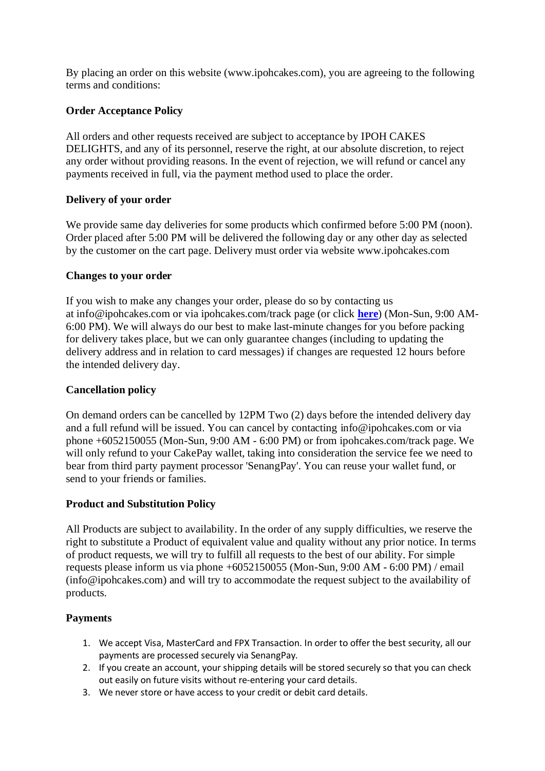By placing an order on this website (www.ipohcakes.com), you are agreeing to the following terms and conditions:

# **Order Acceptance Policy**

All orders and other requests received are subject to acceptance by IPOH CAKES DELIGHTS, and any of its personnel, reserve the right, at our absolute discretion, to reject any order without providing reasons. In the event of rejection, we will refund or cancel any payments received in full, via the payment method used to place the order.

## **Delivery of your order**

We provide same day deliveries for some products which confirmed before 5:00 PM (noon). Order placed after 5:00 PM will be delivered the following day or any other day as selected by the customer on the cart page. Delivery must order via website www.ipohcakes.com

#### **Changes to your order**

If you wish to make any changes your order, please do so by contacting us at info@ipohcakes.com or via ipohcakes.com/track page (or click **[here](https://t.me/ipohcakes)**) (Mon-Sun, 9:00 AM-6:00 PM). We will always do our best to make last-minute changes for you before packing for delivery takes place, but we can only guarantee changes (including to updating the delivery address and in relation to card messages) if changes are requested 12 hours before the intended delivery day.

# **Cancellation policy**

On demand orders can be cancelled by 12PM Two (2) days before the intended delivery day and a full refund will be issued. You can cancel by contacting info@ipohcakes.com or via phone +6052150055 (Mon-Sun, 9:00 AM - 6:00 PM) or from ipohcakes.com/track page. We will only refund to your CakePay wallet, taking into consideration the service fee we need to bear from third party payment processor 'SenangPay'. You can reuse your wallet fund, or send to your friends or families.

#### **Product and Substitution Policy**

All Products are subject to availability. In the order of any supply difficulties, we reserve the right to substitute a Product of equivalent value and quality without any prior notice. In terms of product requests, we will try to fulfill all requests to the best of our ability. For simple requests please inform us via phone +6052150055 (Mon-Sun, 9:00 AM - 6:00 PM) / email (info@ipohcakes.com) and will try to accommodate the request subject to the availability of products.

# **Payments**

- 1. We accept Visa, MasterCard and FPX Transaction. In order to offer the best security, all our payments are processed securely via SenangPay.
- 2. If you create an account, your shipping details will be stored securely so that you can check out easily on future visits without re-entering your card details.
- 3. We never store or have access to your credit or debit card details.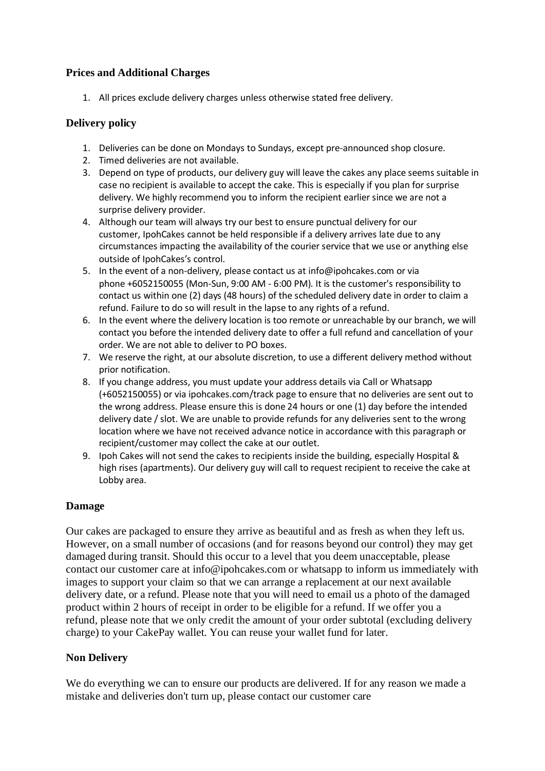# **Prices and Additional Charges**

1. All prices exclude delivery charges unless otherwise stated free delivery.

# **Delivery policy**

- 1. Deliveries can be done on Mondays to Sundays, except pre-announced shop closure.
- 2. Timed deliveries are not available.
- 3. Depend on type of products, our delivery guy will leave the cakes any place seems suitable in case no recipient is available to accept the cake. This is especially if you plan for surprise delivery. We highly recommend you to inform the recipient earlier since we are not a surprise delivery provider.
- 4. Although our team will always try our best to ensure punctual delivery for our customer, IpohCakes cannot be held responsible if a delivery arrives late due to any circumstances impacting the availability of the courier service that we use or anything else outside of IpohCakes's control.
- 5. In the event of a non-delivery, please contact us at info@ipohcakes.com or via phone +6052150055 (Mon-Sun, 9:00 AM - 6:00 PM). It is the customer's responsibility to contact us within one (2) days (48 hours) of the scheduled delivery date in order to claim a refund. Failure to do so will result in the lapse to any rights of a refund.
- 6. In the event where the delivery location is too remote or unreachable by our branch, we will contact you before the intended delivery date to offer a full refund and cancellation of your order. We are not able to deliver to PO boxes.
- 7. We reserve the right, at our absolute discretion, to use a different delivery method without prior notification.
- 8. If you change address, you must update your address details via Call or Whatsapp (+6052150055) or via ipohcakes.com/track page to ensure that no deliveries are sent out to the wrong address. Please ensure this is done 24 hours or one (1) day before the intended delivery date / slot. We are unable to provide refunds for any deliveries sent to the wrong location where we have not received advance notice in accordance with this paragraph or recipient/customer may collect the cake at our outlet.
- 9. Ipoh Cakes will not send the cakes to recipients inside the building, especially Hospital & high rises (apartments). Our delivery guy will call to request recipient to receive the cake at Lobby area.

# **Damage**

Our cakes are packaged to ensure they arrive as beautiful and as fresh as when they left us. However, on a small number of occasions (and for reasons beyond our control) they may get damaged during transit. Should this occur to a level that you deem unacceptable, please contact our customer care at info@ipohcakes.com or whatsapp to inform us immediately with images to support your claim so that we can arrange a replacement at our next available delivery date, or a refund. Please note that you will need to email us a photo of the damaged product within 2 hours of receipt in order to be eligible for a refund. If we offer you a refund, please note that we only credit the amount of your order subtotal (excluding delivery charge) to your CakePay wallet. You can reuse your wallet fund for later.

# **Non Delivery**

We do everything we can to ensure our products are delivered. If for any reason we made a mistake and deliveries don't turn up, please contact our customer care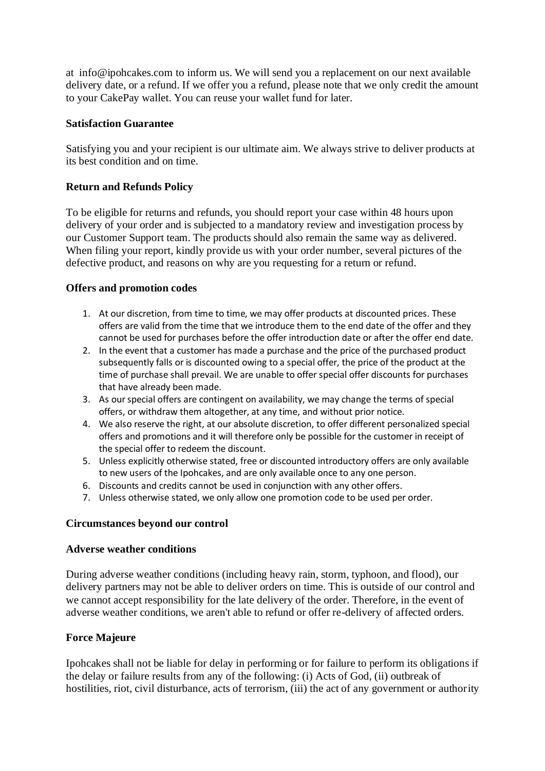at info@ipohcakes.com to inform us. We will send you a replacement on our next available delivery date, or a refund. If we offer you a refund, please note that we only credit the amount to your CakePay wallet. You can reuse your wallet fund for later.

## **Satisfaction Guarantee**

Satisfying you and your recipient is our ultimate aim. We always strive to deliver products at its best condition and on time.

# **Return and Refunds Policy**

To be eligible for returns and refunds, you should report your case within 48 hours upon delivery of your order and is subjected to a mandatory review and investigation process by our Customer Support team. The products should also remain the same way as delivered. When filing your report, kindly provide us with your order number, several pictures of the defective product, and reasons on why are you requesting for a return or refund.

## **Offers and promotion codes**

- 1. At our discretion, from time to time, we may offer products at discounted prices. These offers are valid from the time that we introduce them to the end date of the offer and they cannot be used for purchases before the offer introduction date or after the offer end date.
- 2. In the event that a customer has made a purchase and the price of the purchased product subsequently falls or is discounted owing to a special offer, the price of the product at the time of purchase shall prevail. We are unable to offer special offer discounts for purchases that have already been made.
- 3. As our special offers are contingent on availability, we may change the terms of special offers, or withdraw them altogether, at any time, and without prior notice.
- 4. We also reserve the right, at our absolute discretion, to offer different personalized special offers and promotions and it will therefore only be possible for the customer in receipt of the special offer to redeem the discount.
- 5. Unless explicitly otherwise stated, free or discounted introductory offers are only available to new users of the Ipohcakes, and are only available once to any one person.
- 6. Discounts and credits cannot be used in conjunction with any other offers.
- 7. Unless otherwise stated, we only allow one promotion code to be used per order.

# **Circumstances beyond our control**

#### **Adverse weather conditions**

During adverse weather conditions (including heavy rain, storm, typhoon, and flood), our delivery partners may not be able to deliver orders on time. This is outside of our control and we cannot accept responsibility for the late delivery of the order. Therefore, in the event of adverse weather conditions, we aren't able to refund or offer re-delivery of affected orders.

# **Force Majeure**

Ipohcakes shall not be liable for delay in performing or for failure to perform its obligations if the delay or failure results from any of the following: (i) Acts of God, (ii) outbreak of hostilities, riot, civil disturbance, acts of terrorism, (iii) the act of any government or authority